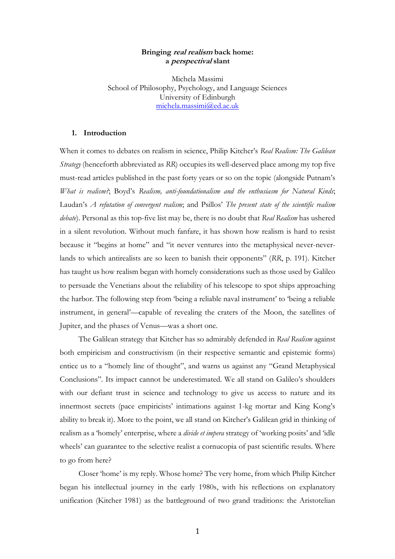## **Bringing real realism back home: a perspectival slant**

Michela Massimi School of Philosophy, Psychology, and Language Sciences University of Edinburgh [michela.massimi@ed.ac.uk](mailto:michela.massimi@ed.ac.uk)

#### **1. Introduction**

When it comes to debates on realism in science, Philip Kitcher's *Real Realism: The Galilean Strategy* (henceforth abbreviated as *RR*) occupies its well-deserved place among my top five must-read articles published in the past forty years or so on the topic (alongside Putnam's *What is realism?*; Boyd's *Realism, anti-foundationalism and the enthusiasm for Natural Kinds*; Laudan's *A refutation of convergent realism*; and Psillos' *The present state of the scientific realism debate*). Personal as this top-five list may be, there is no doubt that *Real Realism* has ushered in a silent revolution. Without much fanfare, it has shown how realism is hard to resist because it "begins at home" and "it never ventures into the metaphysical never-neverlands to which antirealists are so keen to banish their opponents" (*RR*, p. 191). Kitcher has taught us how realism began with homely considerations such as those used by Galileo to persuade the Venetians about the reliability of his telescope to spot ships approaching the harbor. The following step from 'being a reliable naval instrument' to 'being a reliable instrument, in general'—capable of revealing the craters of the Moon, the satellites of Jupiter, and the phases of Venus—was a short one.

The Galilean strategy that Kitcher has so admirably defended in *Real Realism* against both empiricism and constructivism (in their respective semantic and epistemic forms) entice us to a "homely line of thought", and warns us against any "Grand Metaphysical Conclusions". Its impact cannot be underestimated. We all stand on Galileo's shoulders with our defiant trust in science and technology to give us access to nature and its innermost secrets (pace empiricists' intimations against 1-kg mortar and King Kong's ability to break it). More to the point, we all stand on Kitcher's Galilean grid in thinking of realism as a 'homely' enterprise, where a *divide et impera* strategy of 'working posits' and 'idle wheels' can guarantee to the selective realist a cornucopia of past scientific results. Where to go from here?

Closer 'home' is my reply. Whose home? The very home, from which Philip Kitcher began his intellectual journey in the early 1980s, with his reflections on explanatory unification (Kitcher 1981) as the battleground of two grand traditions: the Aristotelian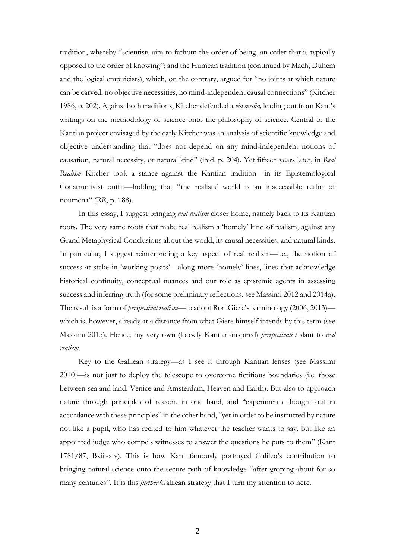tradition, whereby "scientists aim to fathom the order of being, an order that is typically opposed to the order of knowing"; and the Humean tradition (continued by Mach, Duhem and the logical empiricists), which, on the contrary, argued for "no joints at which nature can be carved, no objective necessities, no mind-independent causal connections" (Kitcher 1986, p. 202). Against both traditions, Kitcher defended a *via media,* leading out from Kant's writings on the methodology of science onto the philosophy of science. Central to the Kantian project envisaged by the early Kitcher was an analysis of scientific knowledge and objective understanding that "does not depend on any mind-independent notions of causation, natural necessity, or natural kind" (ibid. p. 204). Yet fifteen years later, in *Real Realism* Kitcher took a stance against the Kantian tradition—in its Epistemological Constructivist outfit—holding that "the realists' world is an inaccessible realm of noumena" (*RR*, p. 188).

In this essay, I suggest bringing *real realism* closer home, namely back to its Kantian roots. The very same roots that make real realism a 'homely' kind of realism, against any Grand Metaphysical Conclusions about the world, its causal necessities, and natural kinds. In particular, I suggest reinterpreting a key aspect of real realism—i.e., the notion of success at stake in 'working posits'—along more 'homely' lines, lines that acknowledge historical continuity, conceptual nuances and our role as epistemic agents in assessing success and inferring truth (for some preliminary reflections, see Massimi 2012 and 2014a). The result is a form of *perspectival realism*—to adopt Ron Giere's terminology (2006, 2013) which is, however, already at a distance from what Giere himself intends by this term (see Massimi 2015). Hence, my very own (loosely Kantian-inspired) *perspectivalist* slant to *real realism*.

Key to the Galilean strategy—as I see it through Kantian lenses (see Massimi 2010)—is not just to deploy the telescope to overcome fictitious boundaries (i.e. those between sea and land, Venice and Amsterdam, Heaven and Earth). But also to approach nature through principles of reason, in one hand, and "experiments thought out in accordance with these principles" in the other hand, "yet in order to be instructed by nature not like a pupil, who has recited to him whatever the teacher wants to say, but like an appointed judge who compels witnesses to answer the questions he puts to them" (Kant 1781/87, Bxiii-xiv). This is how Kant famously portrayed Galileo's contribution to bringing natural science onto the secure path of knowledge "after groping about for so many centuries". It is this *further* Galilean strategy that I turn my attention to here.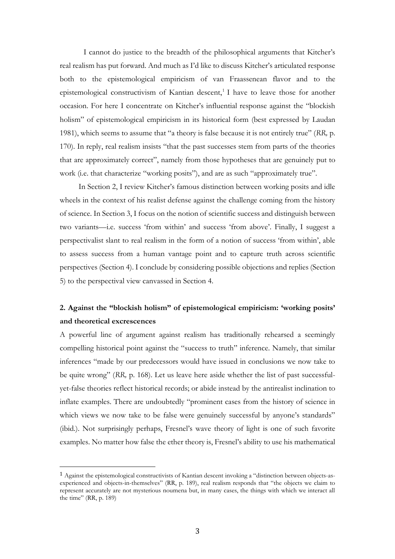I cannot do justice to the breadth of the philosophical arguments that Kitcher's real realism has put forward. And much as I'd like to discuss Kitcher's articulated response both to the epistemological empiricism of van Fraassenean flavor and to the epistemological constructivism of Kantian descent, 1 I have to leave those for another occasion. For here I concentrate on Kitcher's influential response against the "blockish holism" of epistemological empiricism in its historical form (best expressed by Laudan 1981), which seems to assume that "a theory is false because it is not entirely true" (*RR,* p. 170). In reply, real realism insists "that the past successes stem from parts of the theories that are approximately correct", namely from those hypotheses that are genuinely put to work (i.e. that characterize "working posits"), and are as such "approximately true".

In Section 2, I review Kitcher's famous distinction between working posits and idle wheels in the context of his realist defense against the challenge coming from the history of science. In Section 3, I focus on the notion of scientific success and distinguish between two variants—i.e. success 'from within' and success 'from above'. Finally, I suggest a perspectivalist slant to real realism in the form of a notion of success 'from within', able to assess success from a human vantage point and to capture truth across scientific perspectives (Section 4). I conclude by considering possible objections and replies (Section 5) to the perspectival view canvassed in Section 4.

# **2. Against the "blockish holism" of epistemological empiricism: 'working posits' and theoretical excrescences**

A powerful line of argument against realism has traditionally rehearsed a seemingly compelling historical point against the "success to truth" inference. Namely, that similar inferences "made by our predecessors would have issued in conclusions we now take to be quite wrong" (*RR,* p. 168). Let us leave here aside whether the list of past successfulyet-false theories reflect historical records; or abide instead by the antirealist inclination to inflate examples. There are undoubtedly "prominent cases from the history of science in which views we now take to be false were genuinely successful by anyone's standards" (ibid.). Not surprisingly perhaps, Fresnel's wave theory of light is one of such favorite examples. No matter how false the ether theory is, Fresnel's ability to use his mathematical

<sup>1</sup> Against the epistemological constructivists of Kantian descent invoking a "distinction between objects-asexperienced and objects-in-themselves" (RR, p. 189), real realism responds that "the objects we claim to represent accurately are not mysterious noumena but, in many cases, the things with which we interact all the time" (RR, p. 189)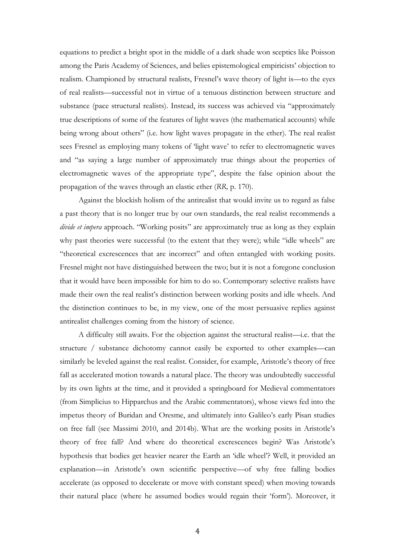equations to predict a bright spot in the middle of a dark shade won sceptics like Poisson among the Paris Academy of Sciences, and belies epistemological empiricists' objection to realism. Championed by structural realists, Fresnel's wave theory of light is—to the eyes of real realists—successful not in virtue of a tenuous distinction between structure and substance (pace structural realists). Instead, its success was achieved via "approximately true descriptions of some of the features of light waves (the mathematical accounts) while being wrong about others" (i.e. how light waves propagate in the ether). The real realist sees Fresnel as employing many tokens of 'light wave' to refer to electromagnetic waves and "as saying a large number of approximately true things about the properties of electromagnetic waves of the appropriate type", despite the false opinion about the propagation of the waves through an elastic ether (*RR,* p. 170).

Against the blockish holism of the antirealist that would invite us to regard as false a past theory that is no longer true by our own standards, the real realist recommends a *divide et impera* approach. "Working posits" are approximately true as long as they explain why past theories were successful (to the extent that they were); while "idle wheels" are "theoretical excrescences that are incorrect" and often entangled with working posits. Fresnel might not have distinguished between the two; but it is not a foregone conclusion that it would have been impossible for him to do so. Contemporary selective realists have made their own the real realist's distinction between working posits and idle wheels. And the distinction continues to be, in my view, one of the most persuasive replies against antirealist challenges coming from the history of science.

A difficulty still awaits. For the objection against the structural realist—i.e. that the structure / substance dichotomy cannot easily be exported to other examples—can similarly be leveled against the real realist. Consider, for example, Aristotle's theory of free fall as accelerated motion towards a natural place. The theory was undoubtedly successful by its own lights at the time, and it provided a springboard for Medieval commentators (from Simplicius to Hipparchus and the Arabic commentators), whose views fed into the impetus theory of Buridan and Oresme, and ultimately into Galileo's early Pisan studies on free fall (see Massimi 2010, and 2014b). What are the working posits in Aristotle's theory of free fall? And where do theoretical excrescences begin? Was Aristotle's hypothesis that bodies get heavier nearer the Earth an 'idle wheel'? Well, it provided an explanation—in Aristotle's own scientific perspective—of why free falling bodies accelerate (as opposed to decelerate or move with constant speed) when moving towards their natural place (where he assumed bodies would regain their 'form'). Moreover, it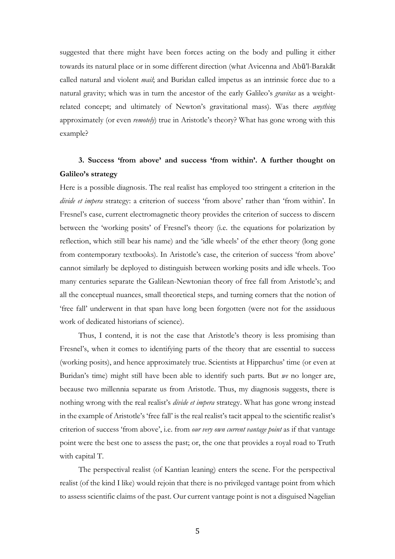suggested that there might have been forces acting on the body and pulling it either towards its natural place or in some different direction (what Avicenna and Abū'l-Barakāt called natural and violent *mail*; and Buridan called impetus as an intrinsic force due to a natural gravity; which was in turn the ancestor of the early Galileo's *gravitas* as a weightrelated concept; and ultimately of Newton's gravitational mass). Was there *anything* approximately (or even *remotely*) true in Aristotle's theory? What has gone wrong with this example?

# **3. Success 'from above' and success 'from within'. A further thought on Galileo's strategy**

Here is a possible diagnosis. The real realist has employed too stringent a criterion in the *divide et impera* strategy: a criterion of success 'from above' rather than 'from within'. In Fresnel's case, current electromagnetic theory provides the criterion of success to discern between the 'working posits' of Fresnel's theory (i.e. the equations for polarization by reflection, which still bear his name) and the 'idle wheels' of the ether theory (long gone from contemporary textbooks). In Aristotle's case, the criterion of success 'from above' cannot similarly be deployed to distinguish between working posits and idle wheels. Too many centuries separate the Galilean-Newtonian theory of free fall from Aristotle's; and all the conceptual nuances, small theoretical steps, and turning corners that the notion of 'free fall' underwent in that span have long been forgotten (were not for the assiduous work of dedicated historians of science).

Thus, I contend, it is not the case that Aristotle's theory is less promising than Fresnel's, when it comes to identifying parts of the theory that are essential to success (working posits), and hence approximately true. Scientists at Hipparchus' time (or even at Buridan's time) might still have been able to identify such parts. But *we* no longer are, because two millennia separate us from Aristotle. Thus, my diagnosis suggests, there is nothing wrong with the real realist's *divide et impera* strategy. What has gone wrong instead in the example of Aristotle's 'free fall' is the real realist's tacit appeal to the scientific realist's criterion of success 'from above', i.e. from *our very own current vantage point* as if that vantage point were the best one to assess the past; or, the one that provides a royal road to Truth with capital T.

The perspectival realist (of Kantian leaning) enters the scene. For the perspectival realist (of the kind I like) would rejoin that there is no privileged vantage point from which to assess scientific claims of the past. Our current vantage point is not a disguised Nagelian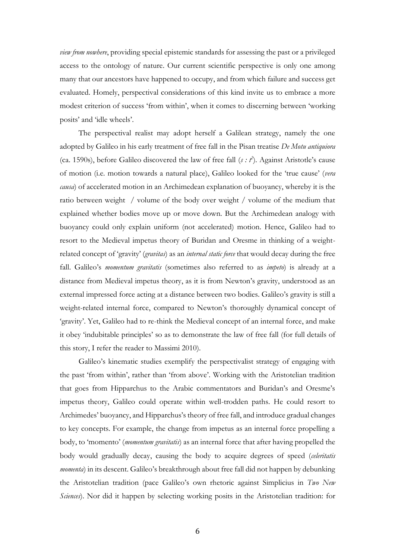*view from nowhere*, providing special epistemic standards for assessing the past or a privileged access to the ontology of nature. Our current scientific perspective is only one among many that our ancestors have happened to occupy, and from which failure and success get evaluated. Homely, perspectival considerations of this kind invite us to embrace a more modest criterion of success 'from within', when it comes to discerning between 'working posits' and 'idle wheels'.

The perspectival realist may adopt herself a Galilean strategy, namely the one adopted by Galileo in his early treatment of free fall in the Pisan treatise *De Motu antiquiora*  (ca. 1590s), before Galileo discovered the law of free fall  $(s : t^2)$ . Against Aristotle's cause of motion (i.e. motion towards a natural place), Galileo looked for the 'true cause' (*vera causa*) of accelerated motion in an Archimedean explanation of buoyancy, whereby it is the ratio between weight / volume of the body over weight / volume of the medium that explained whether bodies move up or move down. But the Archimedean analogy with buoyancy could only explain uniform (not accelerated) motion. Hence, Galileo had to resort to the Medieval impetus theory of Buridan and Oresme in thinking of a weightrelated concept of 'gravity' (*gravitas*) as an *internal static force* that would decay during the free fall. Galileo's *momentum gravitatis* (sometimes also referred to as *impeto*) is already at a distance from Medieval impetus theory, as it is from Newton's gravity, understood as an external impressed force acting at a distance between two bodies. Galileo's gravity is still a weight-related internal force, compared to Newton's thoroughly dynamical concept of 'gravity'. Yet, Galileo had to re-think the Medieval concept of an internal force, and make it obey 'indubitable principles' so as to demonstrate the law of free fall (for full details of this story, I refer the reader to Massimi 2010).

Galileo's kinematic studies exemplify the perspectivalist strategy of engaging with the past 'from within', rather than 'from above'. Working with the Aristotelian tradition that goes from Hipparchus to the Arabic commentators and Buridan's and Oresme's impetus theory, Galileo could operate within well-trodden paths. He could resort to Archimedes' buoyancy, and Hipparchus's theory of free fall, and introduce gradual changes to key concepts. For example, the change from impetus as an internal force propelling a body, to 'momento' (*momentum gravitatis*) as an internal force that after having propelled the body would gradually decay, causing the body to acquire degrees of speed (*celeritatis momenta*) in its descent. Galileo's breakthrough about free fall did not happen by debunking the Aristotelian tradition (pace Galileo's own rhetoric against Simplicius in *Two New Sciences*). Nor did it happen by selecting working posits in the Aristotelian tradition: for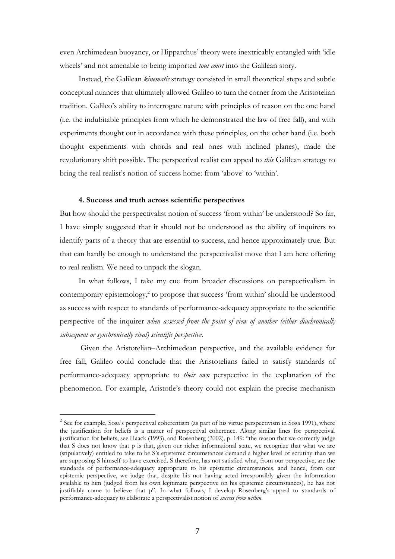even Archimedean buoyancy, or Hipparchus' theory were inextricably entangled with 'idle wheels' and not amenable to being imported *tout court* into the Galilean story.

Instead, the Galilean *kinematic* strategy consisted in small theoretical steps and subtle conceptual nuances that ultimately allowed Galileo to turn the corner from the Aristotelian tradition. Galileo's ability to interrogate nature with principles of reason on the one hand (i.e. the indubitable principles from which he demonstrated the law of free fall), and with experiments thought out in accordance with these principles, on the other hand (i.e. both thought experiments with chords and real ones with inclined planes), made the revolutionary shift possible. The perspectival realist can appeal to *this* Galilean strategy to bring the real realist's notion of success home: from 'above' to 'within'.

### **4. Success and truth across scientific perspectives**

 $\overline{a}$ 

But how should the perspectivalist notion of success 'from within' be understood? So far, I have simply suggested that it should not be understood as the ability of inquirers to identify parts of a theory that are essential to success, and hence approximately true. But that can hardly be enough to understand the perspectivalist move that I am here offering to real realism. We need to unpack the slogan.

In what follows, I take my cue from broader discussions on perspectivalism in contemporary epistemology, 2 to propose that success 'from within' should be understood as success with respect to standards of performance-adequacy appropriate to the scientific perspective of the inquirer *when assessed from the point of view of another (either diachronically subsequent or synchronically rival) scientific perspective*.

Given the Aristotelian–Archimedean perspective, and the available evidence for free fall, Galileo could conclude that the Aristotelians failed to satisfy standards of performance-adequacy appropriate to *their own* perspective in the explanation of the phenomenon. For example, Aristotle's theory could not explain the precise mechanism

<sup>&</sup>lt;sup>2</sup> See for example, Sosa's perspectival coherentism (as part of his virtue perspectivism in Sosa 1991), where the justification for beliefs is a matter of perspectival coherence. Along similar lines for perspectival justification for beliefs, see Haack (1993), and Rosenberg (2002), p. 149: "the reason that we correctly judge that S does not know that p is that, given our richer informational state, we recognize that what we are (stipulatively) entitled to take to be S's epistemic circumstances demand a higher level of scrutiny than we are supposing S himself to have exercised. S therefore, has not satisfied what, from our perspective, are the standards of performance-adequacy appropriate to his epistemic circumstances, and hence, from our epistemic perspective, we judge that, despite his not having acted irresponsibly given the information available to him (judged from his own legitimate perspective on his epistemic circumstances), he has not justifiably come to believe that p". In what follows, I develop Rosenberg's appeal to standards of performance-adequacy to elaborate a perspectivalist notion of *success from within*.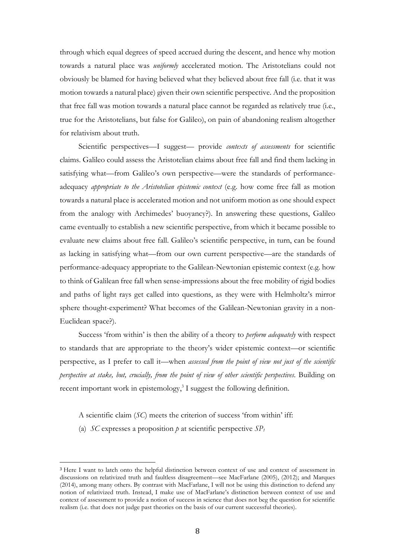through which equal degrees of speed accrued during the descent, and hence why motion towards a natural place was *uniformly* accelerated motion. The Aristotelians could not obviously be blamed for having believed what they believed about free fall (i.e. that it was motion towards a natural place) given their own scientific perspective. And the proposition that free fall was motion towards a natural place cannot be regarded as relatively true (i.e., true for the Aristotelians, but false for Galileo), on pain of abandoning realism altogether for relativism about truth.

Scientific perspectives—I suggest— provide *contexts of assessments* for scientific claims. Galileo could assess the Aristotelian claims about free fall and find them lacking in satisfying what—from Galileo's own perspective—were the standards of performanceadequacy *appropriate to the Aristotelian epistemic context* (e.g. how come free fall as motion towards a natural place is accelerated motion and not uniform motion as one should expect from the analogy with Archimedes' buoyancy?). In answering these questions, Galileo came eventually to establish a new scientific perspective, from which it became possible to evaluate new claims about free fall. Galileo's scientific perspective, in turn, can be found as lacking in satisfying what—from our own current perspective—are the standards of performance-adequacy appropriate to the Galilean-Newtonian epistemic context (e.g. how to think of Galilean free fall when sense-impressions about the free mobility of rigid bodies and paths of light rays get called into questions, as they were with Helmholtz's mirror sphere thought-experiment? What becomes of the Galilean-Newtonian gravity in a non-Euclidean space?).

Success 'from within' is then the ability of a theory to *perform adequately* with respect to standards that are appropriate to the theory's wider epistemic context—or scientific perspective, as I prefer to call it—when *assessed from the point of view not just of the scientific perspective at stake, but, crucially, from the point of view of other scientific perspectives*. Building on recent important work in epistemology, 3 I suggest the following definition.

A scientific claim (*SC*) meets the criterion of success 'from within' iff:

(a) *SC* expresses a proposition *p* at scientific perspective  $SP_1$ 

<sup>3</sup> Here I want to latch onto the helpful distinction between context of use and context of assessment in discussions on relativized truth and faultless disagreement—see MacFarlane (2005), (2012); and Marques (2014), among many others. By contrast with MacFarlane, I will not be using this distinction to defend any notion of relativized truth. Instead, I make use of MacFarlane's distinction between context of use and context of assessment to provide a notion of success in science that does not beg the question for scientific realism (i.e. that does not judge past theories on the basis of our current successful theories).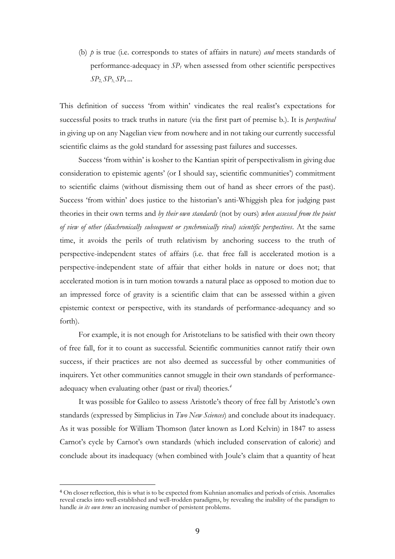(b) *p* is true (i.e. corresponds to states of affairs in nature) *and* meets standards of performance-adequacy in *SP<sup>1</sup>* when assessed from other scientific perspectives *SP*2, *SP*3, *SP*4 ...

This definition of success 'from within' vindicates the real realist's expectations for successful posits to track truths in nature (via the first part of premise b.). It is *perspectival* in giving up on any Nagelian view from nowhere and in not taking our currently successful scientific claims as the gold standard for assessing past failures and successes.

Success 'from within' is kosher to the Kantian spirit of perspectivalism in giving due consideration to epistemic agents' (or I should say, scientific communities') commitment to scientific claims (without dismissing them out of hand as sheer errors of the past). Success 'from within' does justice to the historian's anti-Whiggish plea for judging past theories in their own terms and *by their own standards* (not by ours) *when assessed from the point of view of other (diachronically subsequent or synchronically rival) scientific perspectives*. At the same time, it avoids the perils of truth relativism by anchoring success to the truth of perspective-independent states of affairs (i.e. that free fall is accelerated motion is a perspective-independent state of affair that either holds in nature or does not; that accelerated motion is in turn motion towards a natural place as opposed to motion due to an impressed force of gravity is a scientific claim that can be assessed within a given epistemic context or perspective, with its standards of performance-adequancy and so forth).

For example, it is not enough for Aristotelians to be satisfied with their own theory of free fall, for it to count as successful. Scientific communities cannot ratify their own success, if their practices are not also deemed as successful by other communities of inquirers. Yet other communities cannot smuggle in their own standards of performanceadequacy when evaluating other (past or rival) theories.*<sup>4</sup>*

It was possible for Galileo to assess Aristotle's theory of free fall by Aristotle's own standards (expressed by Simplicius in *Two New Sciences*) and conclude about its inadequacy. As it was possible for William Thomson (later known as Lord Kelvin) in 1847 to assess Carnot's cycle by Carnot's own standards (which included conservation of caloric) and conclude about its inadequacy (when combined with Joule's claim that a quantity of heat

<sup>4</sup> On closer reflection, this is what is to be expected from Kuhnian anomalies and periods of crisis. Anomalies reveal cracks into well-established and well-trodden paradigms, by revealing the inability of the paradigm to handle *in its own terms* an increasing number of persistent problems.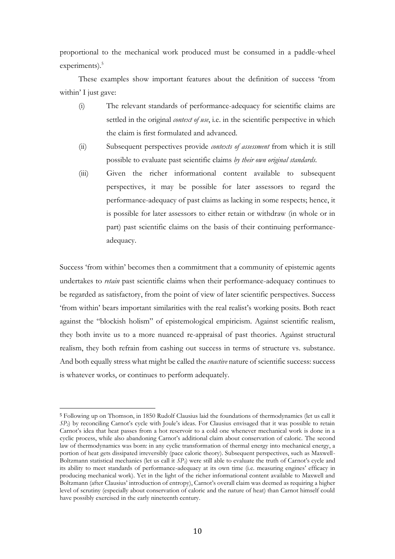proportional to the mechanical work produced must be consumed in a paddle-wheel experiments). 5

These examples show important features about the definition of success 'from within' I just gave:

- (i) The relevant standards of performance-adequacy for scientific claims are settled in the original *context of use*, i.e. in the scientific perspective in which the claim is first formulated and advanced.
- (ii) Subsequent perspectives provide *contexts of assessment* from which it is still possible to evaluate past scientific claims *by their own original standards.*
- (iii) Given the richer informational content available to subsequent perspectives, it may be possible for later assessors to regard the performance-adequacy of past claims as lacking in some respects; hence, it is possible for later assessors to either retain or withdraw (in whole or in part) past scientific claims on the basis of their continuing performanceadequacy.

Success 'from within' becomes then a commitment that a community of epistemic agents undertakes to *retain* past scientific claims when their performance-adequacy continues to be regarded as satisfactory, from the point of view of later scientific perspectives. Success 'from within' bears important similarities with the real realist's working posits. Both react against the "blockish holism" of epistemological empiricism. Against scientific realism, they both invite us to a more nuanced re-appraisal of past theories. Against structural realism, they both refrain from cashing out success in terms of structure vs. substance. And both equally stress what might be called the *enactive* nature of scientific success: success is whatever works, or continues to perform adequately.

<sup>5</sup> Following up on Thomson, in 1850 Rudolf Clausius laid the foundations of thermodynamics (let us call it *SP2*) by reconciling Carnot's cycle with Joule's ideas. For Clausius envisaged that it was possible to retain Carnot's idea that heat passes from a hot reservoir to a cold one whenever mechanical work is done in a cyclic process, while also abandoning Carnot's additional claim about conservation of caloric. The second law of thermodynamics was born: in any cyclic transformation of thermal energy into mechanical energy, a portion of heat gets dissipated irreversibly (pace caloric theory). Subsequent perspectives, such as Maxwell-Boltzmann statistical mechanics (let us call it *SP3*) were still able to evaluate the truth of Carnot's cycle and its ability to meet standards of performance-adequacy at its own time (i.e. measuring engines' efficacy in producing mechanical work). Yet in the light of the richer informational content available to Maxwell and Boltzmann (after Clausius' introduction of entropy), Carnot's overall claim was deemed as requiring a higher level of scrutiny (especially about conservation of caloric and the nature of heat) than Carnot himself could have possibly exercised in the early nineteenth century.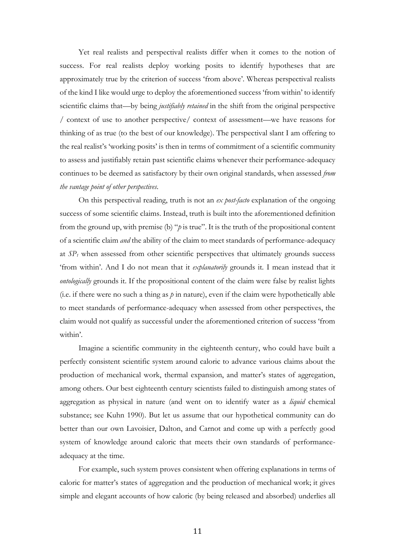Yet real realists and perspectival realists differ when it comes to the notion of success. For real realists deploy working posits to identify hypotheses that are approximately true by the criterion of success 'from above'. Whereas perspectival realists of the kind I like would urge to deploy the aforementioned success 'from within' to identify scientific claims that—by being *justifiably retained* in the shift from the original perspective / context of use to another perspective/ context of assessment—we have reasons for thinking of as true (to the best of our knowledge). The perspectival slant I am offering to the real realist's 'working posits' is then in terms of commitment of a scientific community to assess and justifiably retain past scientific claims whenever their performance-adequacy continues to be deemed as satisfactory by their own original standards, when assessed *from the vantage point of other perspectives*.

On this perspectival reading, truth is not an *ex post-facto* explanation of the ongoing success of some scientific claims. Instead, truth is built into the aforementioned definition from the ground up, with premise (b) "*p* is true". It is the truth of the propositional content of a scientific claim *and* the ability of the claim to meet standards of performance-adequacy at  $SP<sub>1</sub>$  when assessed from other scientific perspectives that ultimately grounds success 'from within'. And I do not mean that it *explanatorily* grounds it. I mean instead that it *ontologically* grounds it. If the propositional content of the claim were false by realist lights (i.e. if there were no such a thing as  $p$  in nature), even if the claim were hypothetically able to meet standards of performance-adequacy when assessed from other perspectives, the claim would not qualify as successful under the aforementioned criterion of success 'from within'.

Imagine a scientific community in the eighteenth century, who could have built a perfectly consistent scientific system around caloric to advance various claims about the production of mechanical work, thermal expansion, and matter's states of aggregation, among others. Our best eighteenth century scientists failed to distinguish among states of aggregation as physical in nature (and went on to identify water as a *liquid* chemical substance; see Kuhn 1990). But let us assume that our hypothetical community can do better than our own Lavoisier, Dalton, and Carnot and come up with a perfectly good system of knowledge around caloric that meets their own standards of performanceadequacy at the time.

For example, such system proves consistent when offering explanations in terms of caloric for matter's states of aggregation and the production of mechanical work; it gives simple and elegant accounts of how caloric (by being released and absorbed) underlies all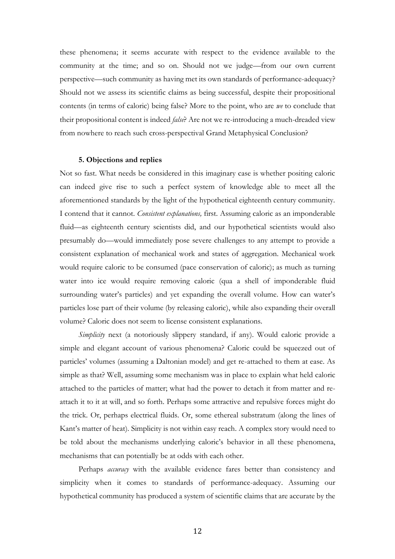these phenomena; it seems accurate with respect to the evidence available to the community at the time; and so on. Should not we judge—from our own current perspective—such community as having met its own standards of performance-adequacy? Should not we assess its scientific claims as being successful, despite their propositional contents (in terms of caloric) being false? More to the point, who are *we* to conclude that their propositional content is indeed *false*? Are not we re-introducing a much-dreaded view from nowhere to reach such cross-perspectival Grand Metaphysical Conclusion?

#### **5. Objections and replies**

Not so fast. What needs be considered in this imaginary case is whether positing caloric can indeed give rise to such a perfect system of knowledge able to meet all the aforementioned standards by the light of the hypothetical eighteenth century community. I contend that it cannot. *Consistent explanations,* first. Assuming caloric as an imponderable fluid—as eighteenth century scientists did, and our hypothetical scientists would also presumably do—would immediately pose severe challenges to any attempt to provide a consistent explanation of mechanical work and states of aggregation. Mechanical work would require caloric to be consumed (pace conservation of caloric); as much as turning water into ice would require removing caloric (qua a shell of imponderable fluid surrounding water's particles) and yet expanding the overall volume. How can water's particles lose part of their volume (by releasing caloric), while also expanding their overall volume? Caloric does not seem to license consistent explanations.

*Simplicity* next (a notoriously slippery standard, if any). Would caloric provide a simple and elegant account of various phenomena? Caloric could be squeezed out of particles' volumes (assuming a Daltonian model) and get re-attached to them at ease. As simple as that? Well, assuming some mechanism was in place to explain what held caloric attached to the particles of matter; what had the power to detach it from matter and reattach it to it at will, and so forth. Perhaps some attractive and repulsive forces might do the trick. Or, perhaps electrical fluids. Or, some ethereal substratum (along the lines of Kant's matter of heat). Simplicity is not within easy reach. A complex story would need to be told about the mechanisms underlying caloric's behavior in all these phenomena, mechanisms that can potentially be at odds with each other.

Perhaps *accuracy* with the available evidence fares better than consistency and simplicity when it comes to standards of performance-adequacy. Assuming our hypothetical community has produced a system of scientific claims that are accurate by the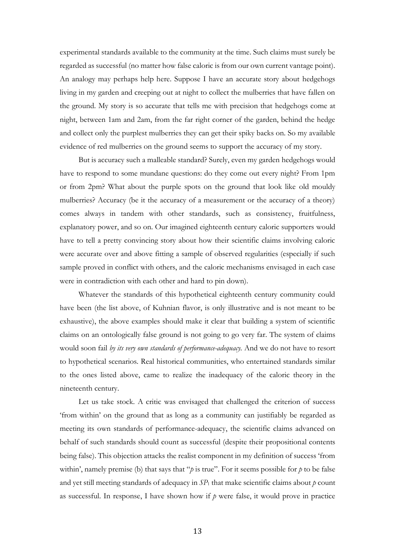experimental standards available to the community at the time. Such claims must surely be regarded as successful (no matter how false caloric is from our own current vantage point). An analogy may perhaps help here. Suppose I have an accurate story about hedgehogs living in my garden and creeping out at night to collect the mulberries that have fallen on the ground. My story is so accurate that tells me with precision that hedgehogs come at night, between 1am and 2am, from the far right corner of the garden, behind the hedge and collect only the purplest mulberries they can get their spiky backs on. So my available evidence of red mulberries on the ground seems to support the accuracy of my story.

But is accuracy such a malleable standard? Surely, even my garden hedgehogs would have to respond to some mundane questions: do they come out every night? From 1pm or from 2pm? What about the purple spots on the ground that look like old mouldy mulberries? Accuracy (be it the accuracy of a measurement or the accuracy of a theory) comes always in tandem with other standards, such as consistency, fruitfulness, explanatory power, and so on. Our imagined eighteenth century caloric supporters would have to tell a pretty convincing story about how their scientific claims involving caloric were accurate over and above fitting a sample of observed regularities (especially if such sample proved in conflict with others, and the caloric mechanisms envisaged in each case were in contradiction with each other and hard to pin down).

Whatever the standards of this hypothetical eighteenth century community could have been (the list above, of Kuhnian flavor, is only illustrative and is not meant to be exhaustive), the above examples should make it clear that building a system of scientific claims on an ontologically false ground is not going to go very far. The system of claims would soon fail *by its very own standards of performance-adequacy.* And we do not have to resort to hypothetical scenarios. Real historical communities, who entertained standards similar to the ones listed above, came to realize the inadequacy of the caloric theory in the nineteenth century.

Let us take stock. A critic was envisaged that challenged the criterion of success 'from within' on the ground that as long as a community can justifiably be regarded as meeting its own standards of performance-adequacy, the scientific claims advanced on behalf of such standards should count as successful (despite their propositional contents being false). This objection attacks the realist component in my definition of success 'from within', namely premise (b) that says that " $p$  is true". For it seems possible for  $p$  to be false and yet still meeting standards of adequacy in  $SP_1$  that make scientific claims about  $p$  count as successful. In response, I have shown how if *p* were false, it would prove in practice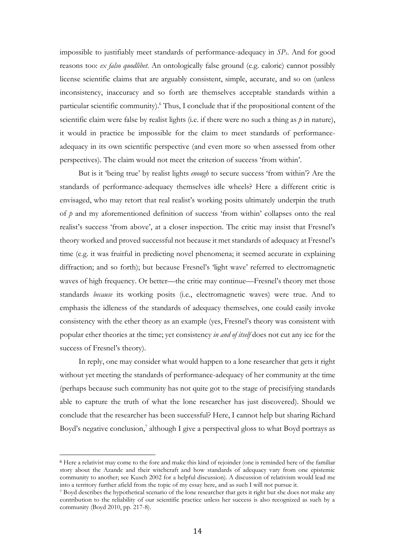impossible to justifiably meet standards of performance-adequacy in *SP1*. And for good reasons too: *ex falso quodlibet*. An ontologically false ground (e.g. caloric) cannot possibly license scientific claims that are arguably consistent, simple, accurate, and so on (unless inconsistency, inaccuracy and so forth are themselves acceptable standards within a particular scientific community).<sup>6</sup> Thus, I conclude that if the propositional content of the scientific claim were false by realist lights (i.e. if there were no such a thing as *p* in nature), it would in practice be impossible for the claim to meet standards of performanceadequacy in its own scientific perspective (and even more so when assessed from other perspectives). The claim would not meet the criterion of success 'from within'.

But is it 'being true' by realist lights *enough* to secure success 'from within'? Are the standards of performance-adequacy themselves idle wheels? Here a different critic is envisaged, who may retort that real realist's working posits ultimately underpin the truth of *p* and my aforementioned definition of success 'from within' collapses onto the real realist's success 'from above', at a closer inspection. The critic may insist that Fresnel's theory worked and proved successful not because it met standards of adequacy at Fresnel's time (e.g. it was fruitful in predicting novel phenomena; it seemed accurate in explaining diffraction; and so forth); but because Fresnel's 'light wave' referred to electromagnetic waves of high frequency. Or better—the critic may continue—Fresnel's theory met those standards *because* its working posits (i.e., electromagnetic waves) were true. And to emphasis the idleness of the standards of adequacy themselves, one could easily invoke consistency with the ether theory as an example (yes, Fresnel's theory was consistent with popular ether theories at the time; yet consistency *in and of itself* does not cut any ice for the success of Fresnel's theory).

In reply, one may consider what would happen to a lone researcher that gets it right without yet meeting the standards of performance-adequacy of her community at the time (perhaps because such community has not quite got to the stage of precisifying standards able to capture the truth of what the lone researcher has just discovered). Should we conclude that the researcher has been successful? Here, I cannot help but sharing Richard Boyd's negative conclusion,<sup>7</sup> although I give a perspectival gloss to what Boyd portrays as

<sup>6</sup> Here a relativist may come to the fore and make this kind of rejoinder (one is reminded here of the familiar story about the Azande and their witchcraft and how standards of adequacy vary from one epistemic community to another; see Kusch 2002 for a helpful discussion). A discussion of relativism would lead me into a territory further afield from the topic of my essay here, and as such I will not pursue it.

<sup>7</sup> Boyd describes the hypothetical scenario of the lone researcher that gets it right but she does not make any contribution to the reliability of our scientific practice unless her success is also recognized as such by a community (Boyd 2010, pp. 217-8).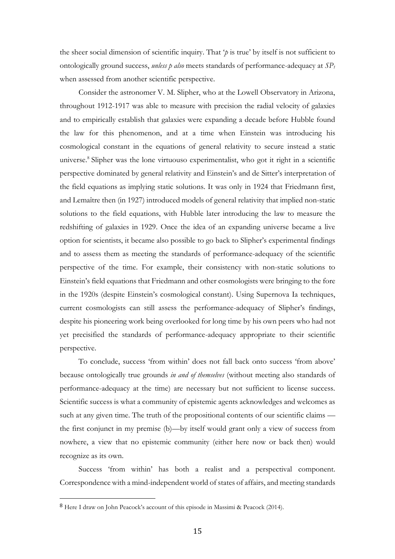the sheer social dimension of scientific inquiry. That '*p* is true' by itself is not sufficient to ontologically ground success, *unless p also* meets standards of performance-adequacy at *SP<sup>1</sup>* when assessed from another scientific perspective.

Consider the astronomer V. M. Slipher, who at the Lowell Observatory in Arizona, throughout 1912-1917 was able to measure with precision the radial velocity of galaxies and to empirically establish that galaxies were expanding a decade before Hubble found the law for this phenomenon, and at a time when Einstein was introducing his cosmological constant in the equations of general relativity to secure instead a static universe.<sup>8</sup> Slipher was the lone virtuouso experimentalist, who got it right in a scientific perspective dominated by general relativity and Einstein's and de Sitter's interpretation of the field equations as implying static solutions. It was only in 1924 that Friedmann first, and Lemaître then (in 1927) introduced models of general relativity that implied non-static solutions to the field equations, with Hubble later introducing the law to measure the redshifting of galaxies in 1929. Once the idea of an expanding universe became a live option for scientists, it became also possible to go back to Slipher's experimental findings and to assess them as meeting the standards of performance-adequacy of the scientific perspective of the time. For example, their consistency with non-static solutions to Einstein's field equations that Friedmann and other cosmologists were bringing to the fore in the 1920s (despite Einstein's cosmological constant). Using Supernova Ia techniques, current cosmologists can still assess the performance-adequacy of Slipher's findings, despite his pioneering work being overlooked for long time by his own peers who had not yet precisified the standards of performance-adequacy appropriate to their scientific perspective.

To conclude, success 'from within' does not fall back onto success 'from above' because ontologically true grounds *in and of themselves* (without meeting also standards of performance-adequacy at the time) are necessary but not sufficient to license success. Scientific success is what a community of epistemic agents acknowledges and welcomes as such at any given time. The truth of the propositional contents of our scientific claims the first conjunct in my premise (b)—by itself would grant only a view of success from nowhere, a view that no epistemic community (either here now or back then) would recognize as its own.

Success 'from within' has both a realist and a perspectival component. Correspondence with a mind-independent world of states of affairs, and meeting standards

<sup>8</sup> Here I draw on John Peacock's account of this episode in Massimi & Peacock (2014).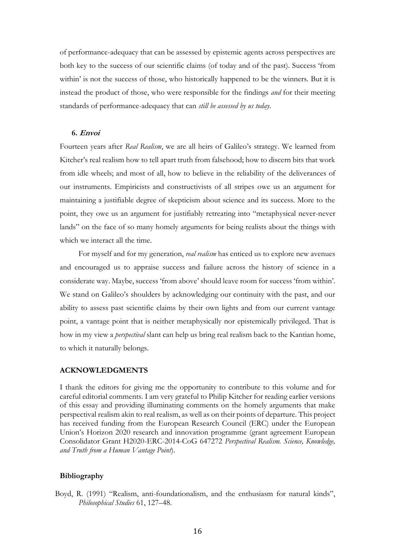of performance-adequacy that can be assessed by epistemic agents across perspectives are both key to the success of our scientific claims (of today and of the past). Success 'from within' is not the success of those, who historically happened to be the winners. But it is instead the product of those, who were responsible for the findings *and* for their meeting standards of performance-adequacy that can *still be assessed by us today.*

### **6. Envoi**

Fourteen years after *Real Realism*, we are all heirs of Galileo's strategy. We learned from Kitcher's real realism how to tell apart truth from falsehood; how to discern bits that work from idle wheels; and most of all, how to believe in the reliability of the deliverances of our instruments. Empiricists and constructivists of all stripes owe us an argument for maintaining a justifiable degree of skepticism about science and its success. More to the point, they owe us an argument for justifiably retreating into "metaphysical never-never lands" on the face of so many homely arguments for being realists about the things with which we interact all the time.

For myself and for my generation, *real realism* has enticed us to explore new avenues and encouraged us to appraise success and failure across the history of science in a considerate way. Maybe, success 'from above' should leave room for success 'from within'. We stand on Galileo's shoulders by acknowledging our continuity with the past, and our ability to assess past scientific claims by their own lights and from our current vantage point, a vantage point that is neither metaphysically nor epistemically privileged. That is how in my view a *perspectival* slant can help us bring real realism back to the Kantian home, to which it naturally belongs.

#### **ACKNOWLEDGMENTS**

I thank the editors for giving me the opportunity to contribute to this volume and for careful editorial comments. I am very grateful to Philip Kitcher for reading earlier versions of this essay and providing illuminating comments on the homely arguments that make perspectival realism akin to real realism, as well as on their points of departure. This project has received funding from the European Research Council (ERC) under the European Union's Horizon 2020 research and innovation programme (grant agreement European Consolidator Grant H2020-ERC-2014-CoG 647272 *Perspectival Realism. Science, Knowledge, and Truth from a Human Vantage Point*).

### **Bibliography**

Boyd, R. (1991) "Realism, anti-foundationalism, and the enthusiasm for natural kinds", *Philosophical Studies* 61, 127–48.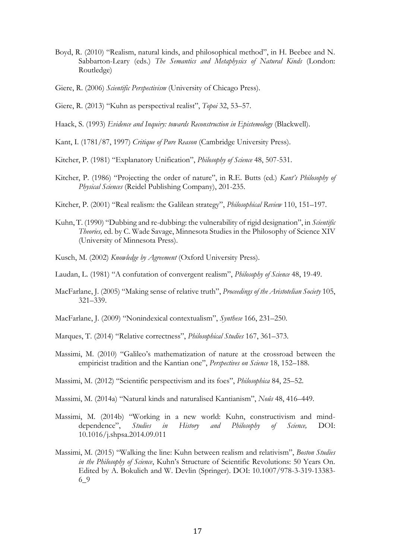- Boyd, R. (2010) "Realism, natural kinds, and philosophical method", in H. Beebee and N. Sabbarton-Leary (eds.) *The Semantics and Metaphysics of Natural Kinds* (London: Routledge)
- Giere, R. (2006) *Scientific Perspectivism* (University of Chicago Press).
- Giere, R. (2013) "Kuhn as perspectival realist", *Topoi* 32, 53–57.
- Haack, S. (1993) *Evidence and Inquiry: towards Reconstruction in Epistemology* (Blackwell).
- Kant, I. (1781/87, 1997) *Critique of Pure Reason* (Cambridge University Press).
- Kitcher, P. (1981) "Explanatory Unification", *Philosophy of Science* 48, 507-531.
- Kitcher, P. (1986) "Projecting the order of nature", in R.E. Butts (ed.) *Kant's Philosophy of Physical Sciences* (Reidel Publishing Company), 201-235.
- Kitcher, P. (2001) "Real realism: the Galilean strategy", *Philosophical Review* 110, 151–197.
- Kuhn, T. (1990) "Dubbing and re-dubbing: the vulnerability of rigid designation", in *Scientific Theories,* ed. by C. Wade Savage, Minnesota Studies in the Philosophy of Science XIV (University of Minnesota Press).
- Kusch, M. (2002) *Knowledge by Agreement* (Oxford University Press).
- Laudan, L. (1981) "A confutation of convergent realism", *Philosophy of Science* 48, 19-49.
- MacFarlane, J. (2005) "Making sense of relative truth", *Proceedings of the Aristotelian Society* 105, 321–339.
- MacFarlane, J. (2009) "Nonindexical contextualism", *Synthese* 166, 231–250.
- Marques, T. (2014) "Relative correctness", *Philosophical Studies* 167, 361–373.
- Massimi, M. (2010) "Galileo's mathematization of nature at the crossroad between the empiricist tradition and the Kantian one", *Perspectives on Science* 18, 152–188.
- Massimi, M. (2012) "Scientific perspectivism and its foes", *Philosophica* 84, 25–52.
- Massimi, M. (2014a) "Natural kinds and naturalised Kantianism", *Noûs* 48, 416–449.
- Massimi, M. (2014b) "Working in a new world: Kuhn, constructivism and minddependence", *Studies in History and Philosophy of Science,* DOI: 10.1016/j.shpsa.2014.09.011
- Massimi, M. (2015) "Walking the line: Kuhn between realism and relativism", *Boston Studies in the Philosophy of Science*, Kuhn's Structure of Scientific Revolutions: 50 Years On. Edited by A. Bokulich and W. Devlin (Springer). DOI: 10.1007/978-3-319-13383- 6\_9